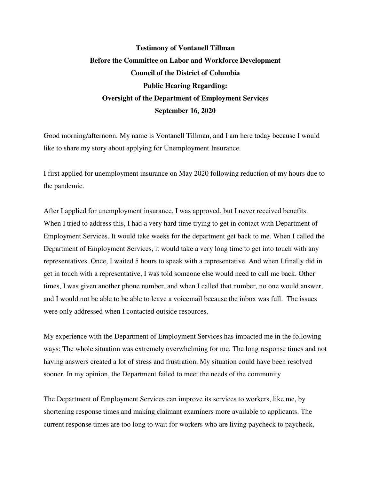## **Testimony of Vontanell Tillman Before the Committee on Labor and Workforce Development Council of the District of Columbia Public Hearing Regarding: Oversight of the Department of Employment Services September 16, 2020**

Good morning/afternoon. My name is Vontanell Tillman, and I am here today because I would like to share my story about applying for Unemployment Insurance.

I first applied for unemployment insurance on May 2020 following reduction of my hours due to the pandemic.

After I applied for unemployment insurance, I was approved, but I never received benefits. When I tried to address this, I had a very hard time trying to get in contact with Department of Employment Services. It would take weeks for the department get back to me. When I called the Department of Employment Services, it would take a very long time to get into touch with any representatives. Once, I waited 5 hours to speak with a representative. And when I finally did in get in touch with a representative, I was told someone else would need to call me back. Other times, I was given another phone number, and when I called that number, no one would answer, and I would not be able to be able to leave a voicemail because the inbox was full. The issues were only addressed when I contacted outside resources.

My experience with the Department of Employment Services has impacted me in the following ways: The whole situation was extremely overwhelming for me. The long response times and not having answers created a lot of stress and frustration. My situation could have been resolved sooner. In my opinion, the Department failed to meet the needs of the community

The Department of Employment Services can improve its services to workers, like me, by shortening response times and making claimant examiners more available to applicants. The current response times are too long to wait for workers who are living paycheck to paycheck,